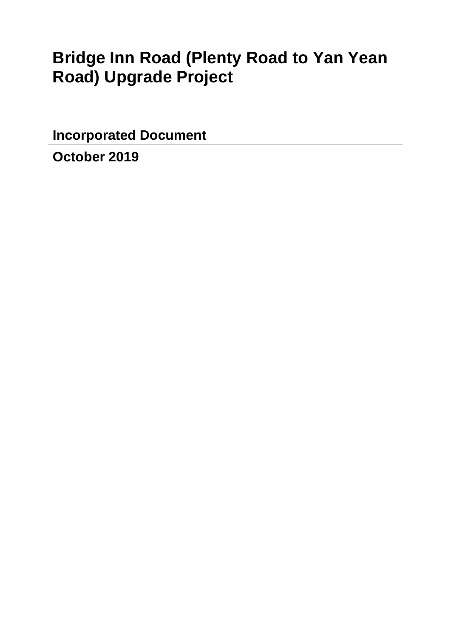# **Bridge Inn Road (Plenty Road to Yan Yean Road) Upgrade Project**

**Incorporated Document** 

**October 2019**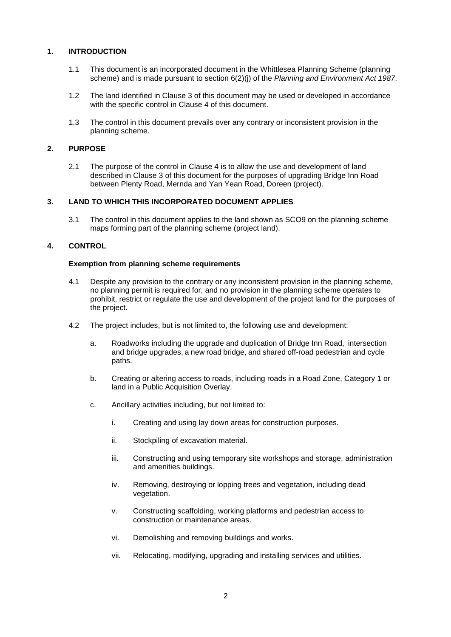## **1. INTRODUCTION**

- 1.1 This document is an incorporated document in the Whittlesea Planning Scheme (planning scheme) and is made pursuant to section 6(2)(j) of the *Planning and Environment Act 1987*.
- 1.2 The land identified in Clause 3 of this document may be used or developed in accordance with the specific control in Clause 4 of this document.
- 1.3 The control in this document prevails over any contrary or inconsistent provision in the planning scheme.

## **2. PURPOSE**

2.1 The purpose of the control in Clause 4 is to allow the use and development of land described in Clause 3 of this document for the purposes of upgrading Bridge Inn Road between Plenty Road, Mernda and Yan Yean Road, Doreen (project).

## **3. LAND TO WHICH THIS INCORPORATED DOCUMENT APPLIES**

3.1 The control in this document applies to the land shown as SCO9 on the planning scheme maps forming part of the planning scheme (project land).

# **4. CONTROL**

### **Exemption from planning scheme requirements**

- 4.1 Despite any provision to the contrary or any inconsistent provision in the planning scheme, no planning permit is required for, and no provision in the planning scheme operates to prohibit, restrict or regulate the use and development of the project land for the purposes of the project.
- 4.2 The project includes, but is not limited to, the following use and development:
	- a. Roadworks including the upgrade and duplication of Bridge Inn Road, intersection and bridge upgrades, a new road bridge, and shared off-road pedestrian and cycle paths.
	- b. Creating or altering access to roads, including roads in a Road Zone, Category 1 or land in a Public Acquisition Overlay.
	- c. Ancillary activities including, but not limited to:
		- i. Creating and using lay down areas for construction purposes.
		- ii. Stockpiling of excavation material.
		- iii. Constructing and using temporary site workshops and storage, administration and amenities buildings.
		- iv. Removing, destroying or lopping trees and vegetation, including dead vegetation.
		- v. Constructing scaffolding, working platforms and pedestrian access to construction or maintenance areas.
		- vi. Demolishing and removing buildings and works.
		- vii. Relocating, modifying, upgrading and installing services and utilities.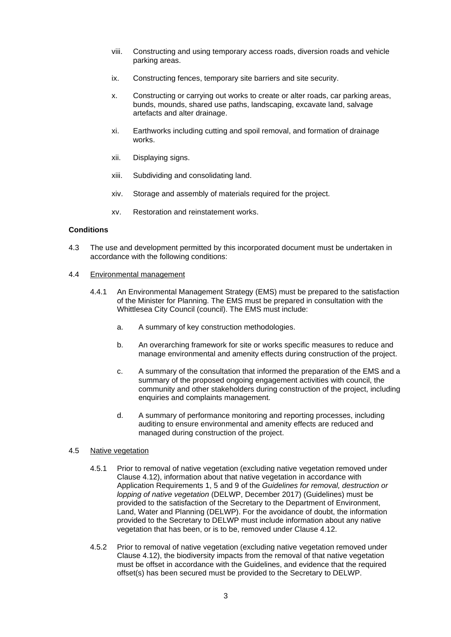- viii. Constructing and using temporary access roads, diversion roads and vehicle parking areas.
- ix. Constructing fences, temporary site barriers and site security.
- x. Constructing or carrying out works to create or alter roads, car parking areas, bunds, mounds, shared use paths, landscaping, excavate land, salvage artefacts and alter drainage.
- xi. Earthworks including cutting and spoil removal, and formation of drainage works.
- xii. Displaying signs.
- xiii. Subdividing and consolidating land.
- xiv. Storage and assembly of materials required for the project.
- xv. Restoration and reinstatement works.

## **Conditions**

- 4.3 The use and development permitted by this incorporated document must be undertaken in accordance with the following conditions:
- 4.4 Environmental management
	- 4.4.1 An Environmental Management Strategy (EMS) must be prepared to the satisfaction of the Minister for Planning. The EMS must be prepared in consultation with the Whittlesea City Council (council). The EMS must include:
		- a. A summary of key construction methodologies.
		- b. An overarching framework for site or works specific measures to reduce and manage environmental and amenity effects during construction of the project.
		- c. A summary of the consultation that informed the preparation of the EMS and a summary of the proposed ongoing engagement activities with council, the community and other stakeholders during construction of the project, including enquiries and complaints management.
		- d. A summary of performance monitoring and reporting processes, including auditing to ensure environmental and amenity effects are reduced and managed during construction of the project.

#### 4.5 Native vegetation

- 4.5.1 Prior to removal of native vegetation (excluding native vegetation removed under Clause 4.12), information about that native vegetation in accordance with Application Requirements 1, 5 and 9 of the *Guidelines for removal, destruction or lopping of native vegetation* (DELWP, December 2017) (Guidelines) must be provided to the satisfaction of the Secretary to the Department of Environment, Land, Water and Planning (DELWP). For the avoidance of doubt, the information provided to the Secretary to DELWP must include information about any native vegetation that has been, or is to be, removed under Clause 4.12.
- 4.5.2 Prior to removal of native vegetation (excluding native vegetation removed under Clause 4.12), the biodiversity impacts from the removal of that native vegetation must be offset in accordance with the Guidelines, and evidence that the required offset(s) has been secured must be provided to the Secretary to DELWP.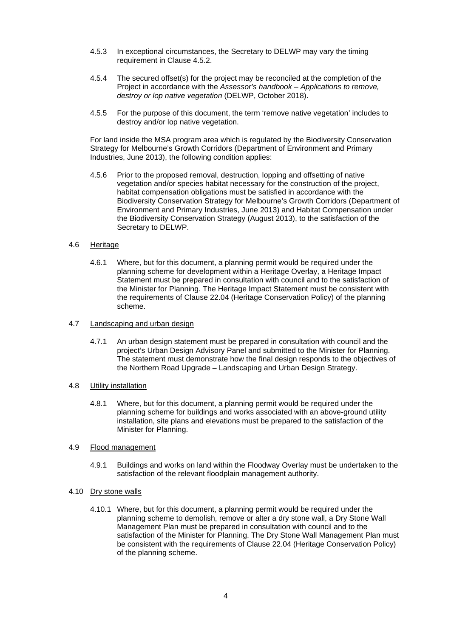- 4.5.3 In exceptional circumstances, the Secretary to DELWP may vary the timing requirement in Clause 4.5.2.
- 4.5.4 The secured offset(s) for the project may be reconciled at the completion of the Project in accordance with the *Assessor's handbook – Applications to remove, destroy or lop native vegetation* (DELWP, October 2018).
- 4.5.5 For the purpose of this document, the term 'remove native vegetation' includes to destroy and/or lop native vegetation.

For land inside the MSA program area which is regulated by the Biodiversity Conservation Strategy for Melbourne's Growth Corridors (Department of Environment and Primary Industries, June 2013), the following condition applies:

4.5.6 Prior to the proposed removal, destruction, lopping and offsetting of native vegetation and/or species habitat necessary for the construction of the project, habitat compensation obligations must be satisfied in accordance with the Biodiversity Conservation Strategy for Melbourne's Growth Corridors (Department of Environment and Primary Industries, June 2013) and Habitat Compensation under the Biodiversity Conservation Strategy (August 2013), to the satisfaction of the Secretary to DELWP.

### 4.6 Heritage

- 4.6.1 Where, but for this document, a planning permit would be required under the planning scheme for development within a Heritage Overlay, a Heritage Impact Statement must be prepared in consultation with council and to the satisfaction of the Minister for Planning. The Heritage Impact Statement must be consistent with the requirements of Clause 22.04 (Heritage Conservation Policy) of the planning scheme.
- 4.7 Landscaping and urban design
	- 4.7.1 An urban design statement must be prepared in consultation with council and the project's Urban Design Advisory Panel and submitted to the Minister for Planning. The statement must demonstrate how the final design responds to the objectives of the Northern Road Upgrade – Landscaping and Urban Design Strategy.
- 4.8 Utility installation
	- 4.8.1 Where, but for this document, a planning permit would be required under the planning scheme for buildings and works associated with an above-ground utility installation, site plans and elevations must be prepared to the satisfaction of the Minister for Planning.
- 4.9 Flood management
	- 4.9.1 Buildings and works on land within the Floodway Overlay must be undertaken to the satisfaction of the relevant floodplain management authority.
- 4.10 Dry stone walls
	- 4.10.1 Where, but for this document, a planning permit would be required under the planning scheme to demolish, remove or alter a dry stone wall, a Dry Stone Wall Management Plan must be prepared in consultation with council and to the satisfaction of the Minister for Planning. The Dry Stone Wall Management Plan must be consistent with the requirements of Clause 22.04 (Heritage Conservation Policy) of the planning scheme.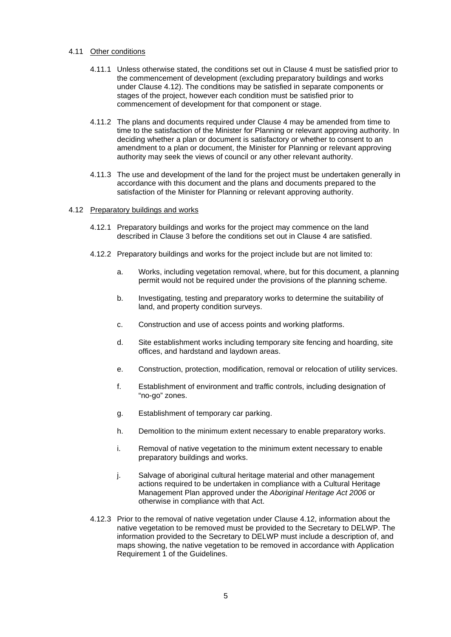### 4.11 Other conditions

- 4.11.1 Unless otherwise stated, the conditions set out in Clause 4 must be satisfied prior to the commencement of development (excluding preparatory buildings and works under Clause 4.12). The conditions may be satisfied in separate components or stages of the project, however each condition must be satisfied prior to commencement of development for that component or stage.
- 4.11.2 The plans and documents required under Clause 4 may be amended from time to time to the satisfaction of the Minister for Planning or relevant approving authority. In deciding whether a plan or document is satisfactory or whether to consent to an amendment to a plan or document, the Minister for Planning or relevant approving authority may seek the views of council or any other relevant authority.
- 4.11.3 The use and development of the land for the project must be undertaken generally in accordance with this document and the plans and documents prepared to the satisfaction of the Minister for Planning or relevant approving authority.

### 4.12 Preparatory buildings and works

- 4.12.1 Preparatory buildings and works for the project may commence on the land described in Clause 3 before the conditions set out in Clause 4 are satisfied.
- 4.12.2 Preparatory buildings and works for the project include but are not limited to:
	- a. Works, including vegetation removal, where, but for this document, a planning permit would not be required under the provisions of the planning scheme.
	- b. Investigating, testing and preparatory works to determine the suitability of land, and property condition surveys.
	- c. Construction and use of access points and working platforms.
	- d. Site establishment works including temporary site fencing and hoarding, site offices, and hardstand and laydown areas.
	- e. Construction, protection, modification, removal or relocation of utility services.
	- f. Establishment of environment and traffic controls, including designation of "no-go" zones.
	- g. Establishment of temporary car parking.
	- h. Demolition to the minimum extent necessary to enable preparatory works.
	- i. Removal of native vegetation to the minimum extent necessary to enable preparatory buildings and works.
	- j. Salvage of aboriginal cultural heritage material and other management actions required to be undertaken in compliance with a Cultural Heritage Management Plan approved under the *Aboriginal Heritage Act 2006* or otherwise in compliance with that Act.
- 4.12.3 Prior to the removal of native vegetation under Clause 4.12, information about the native vegetation to be removed must be provided to the Secretary to DELWP. The information provided to the Secretary to DELWP must include a description of, and maps showing, the native vegetation to be removed in accordance with Application Requirement 1 of the Guidelines.